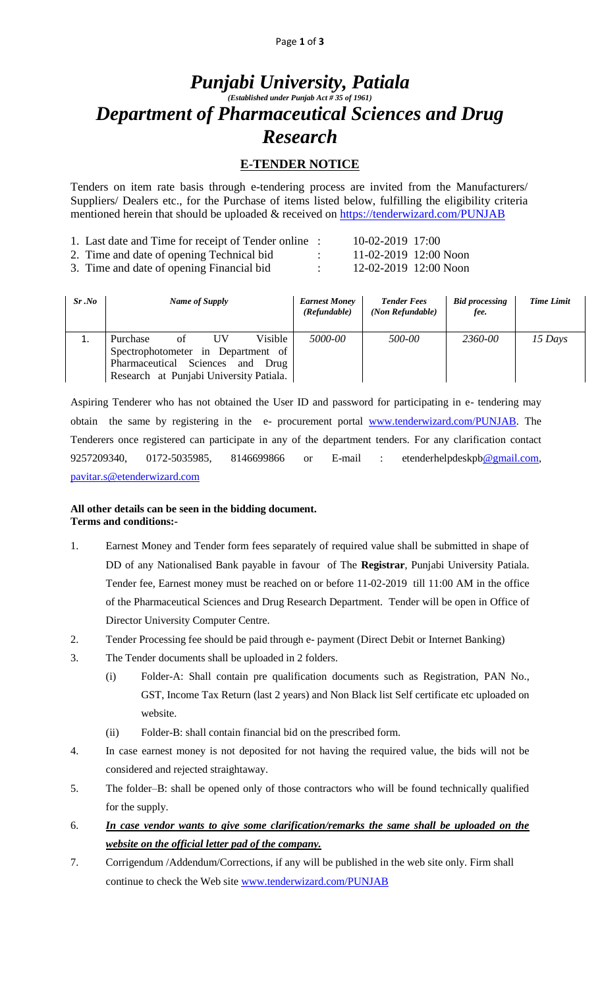# *Punjabi University, Patiala (Established under Punjab Act # 35 of 1961) Department of Pharmaceutical Sciences and Drug Research*

## **E-TENDER NOTICE**

Tenders on item rate basis through e-tendering process are invited from the Manufacturers/ Suppliers/ Dealers etc., for the Purchase of items listed below, fulfilling the eligibility criteria mentioned herein that should be uploaded & received on<https://tenderwizard.com/PUNJAB>

| 1. Last date and Time for receipt of Tender online : | 10-02-2019 17:00 |                         |
|------------------------------------------------------|------------------|-------------------------|
| 2. Time and date of opening Technical bid            |                  | $11-02-2019$ 12:00 Noon |
| 3. Time and date of opening Financial bid            |                  | 12-02-2019 12:00 Noon   |

| Sr.No | Name of Supply                                                                                                                                             | <b>Earnest Money</b><br>(Refundable) | <b>Tender Fees</b><br>(Non Refundable) | <b>Bid processing</b><br>fee. | <b>Time Limit</b> |
|-------|------------------------------------------------------------------------------------------------------------------------------------------------------------|--------------------------------------|----------------------------------------|-------------------------------|-------------------|
| ⊥.    | Visible<br>Purchase<br>UV<br>οf<br>Spectrophotometer in Department of<br>Pharmaceutical Sciences<br>and<br>Drug<br>Research at Punjabi University Patiala. | 5000-00                              | 500-00                                 | 2360-00                       | 15 Days           |

Aspiring Tenderer who has not obtained the User ID and password for participating in e- tendering may obtain the same by registering in the e- procurement portal [www.tenderwizard.com/PUNJAB.](http://www.tenderwizard.com/PUNJAB) The Tenderers once registered can participate in any of the department tenders. For any clarification contact 9257209340, 0172-5035985, 8146699866 or E-mail : etenderhelpdeskp[b@gmail.com,](mailto:@gmail.com) [pavitar.s@etenderwizard.com](mailto:pavitar.s@etenderwizard.com)

#### **All other details can be seen in the bidding document. Terms and conditions:-**

- 1. Earnest Money and Tender form fees separately of required value shall be submitted in shape of DD of any Nationalised Bank payable in favour of The **Registrar**, Punjabi University Patiala. Tender fee, Earnest money must be reached on or before 11-02-2019 till 11:00 AM in the office of the Pharmaceutical Sciences and Drug Research Department. Tender will be open in Office of Director University Computer Centre.
- 2. Tender Processing fee should be paid through e- payment (Direct Debit or Internet Banking)
- 3. The Tender documents shall be uploaded in 2 folders.
	- (i) Folder-A: Shall contain pre qualification documents such as Registration, PAN No., GST, Income Tax Return (last 2 years) and Non Black list Self certificate etc uploaded on website.
	- (ii) Folder-B: shall contain financial bid on the prescribed form.
- 4. In case earnest money is not deposited for not having the required value, the bids will not be considered and rejected straightaway.
- 5. The folder–B: shall be opened only of those contractors who will be found technically qualified for the supply.
- 6. *In case vendor wants to give some clarification/remarks the same shall be uploaded on the website on the official letter pad of the company.*
- 7. Corrigendum /Addendum/Corrections, if any will be published in the web site only. Firm shall continue to check the Web site [www.tenderwizard.com/PUNJAB](http://www.tenderwizard.com/PUNJAB)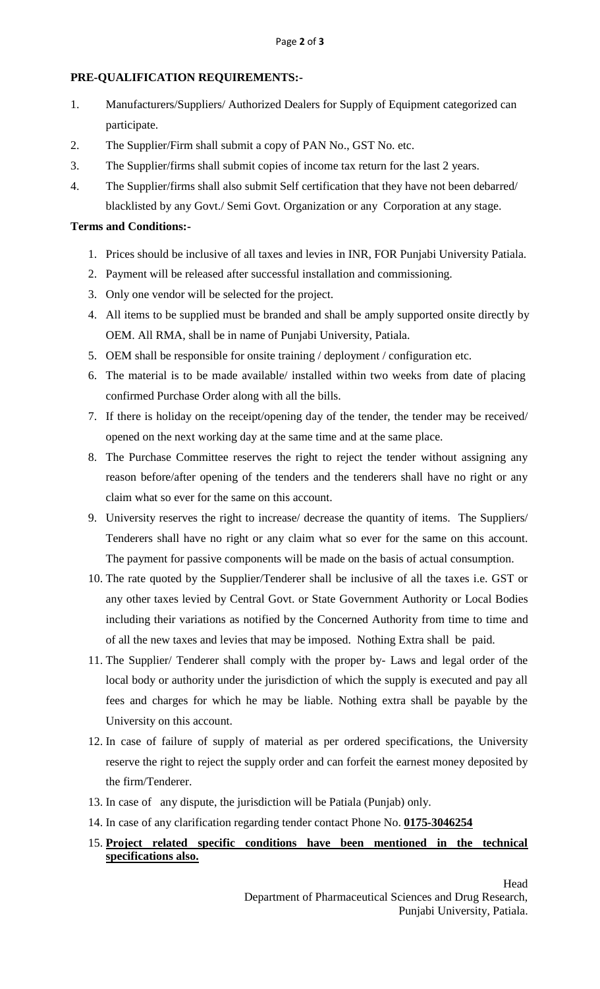## **PRE-QUALIFICATION REQUIREMENTS:-**

- 1. Manufacturers/Suppliers/ Authorized Dealers for Supply of Equipment categorized can participate.
- 2. The Supplier/Firm shall submit a copy of PAN No., GST No. etc.
- 3. The Supplier/firms shall submit copies of income tax return for the last 2 years.
- 4. The Supplier/firms shall also submit Self certification that they have not been debarred/ blacklisted by any Govt./ Semi Govt. Organization or any Corporation at any stage.

### **Terms and Conditions:-**

- 1. Prices should be inclusive of all taxes and levies in INR, FOR Punjabi University Patiala.
- 2. Payment will be released after successful installation and commissioning.
- 3. Only one vendor will be selected for the project.
- 4. All items to be supplied must be branded and shall be amply supported onsite directly by OEM. All RMA, shall be in name of Punjabi University, Patiala.
- 5. OEM shall be responsible for onsite training / deployment / configuration etc.
- 6. The material is to be made available/ installed within two weeks from date of placing confirmed Purchase Order along with all the bills.
- 7. If there is holiday on the receipt/opening day of the tender, the tender may be received/ opened on the next working day at the same time and at the same place.
- 8. The Purchase Committee reserves the right to reject the tender without assigning any reason before/after opening of the tenders and the tenderers shall have no right or any claim what so ever for the same on this account.
- 9. University reserves the right to increase/ decrease the quantity of items. The Suppliers/ Tenderers shall have no right or any claim what so ever for the same on this account. The payment for passive components will be made on the basis of actual consumption.
- 10. The rate quoted by the Supplier/Tenderer shall be inclusive of all the taxes i.e. GST or any other taxes levied by Central Govt. or State Government Authority or Local Bodies including their variations as notified by the Concerned Authority from time to time and of all the new taxes and levies that may be imposed. Nothing Extra shall be paid.
- 11. The Supplier/ Tenderer shall comply with the proper by- Laws and legal order of the local body or authority under the jurisdiction of which the supply is executed and pay all fees and charges for which he may be liable. Nothing extra shall be payable by the University on this account.
- 12. In case of failure of supply of material as per ordered specifications, the University reserve the right to reject the supply order and can forfeit the earnest money deposited by the firm/Tenderer.
- 13. In case of any dispute, the jurisdiction will be Patiala (Punjab) only.
- 14. In case of any clarification regarding tender contact Phone No. **0175-3046254**
- 15. **Project related specific conditions have been mentioned in the technical specifications also.**